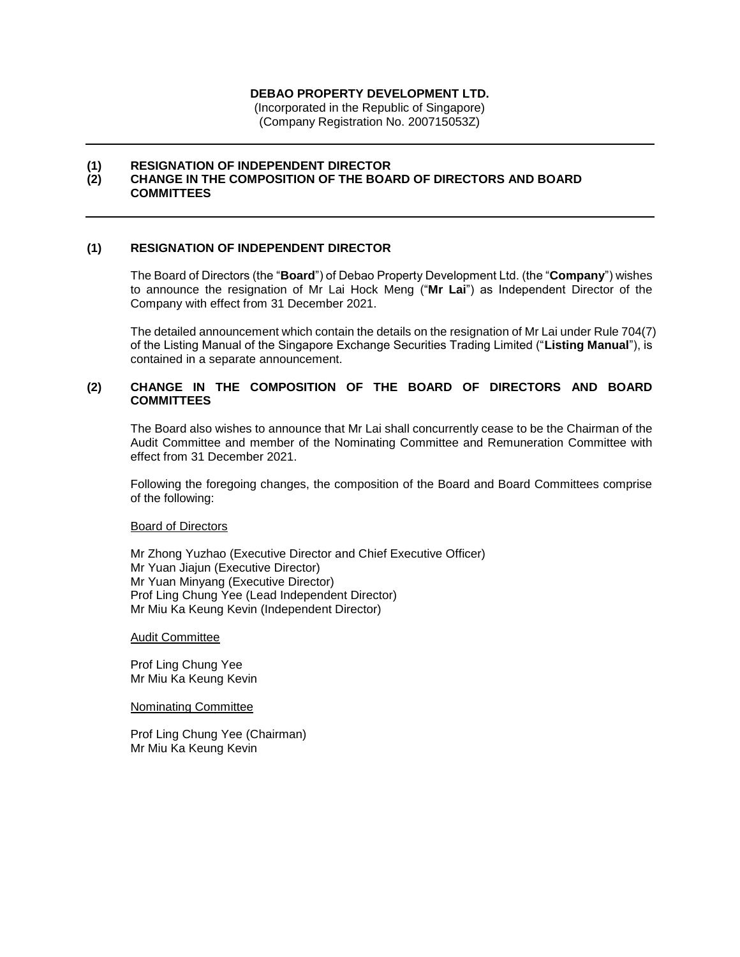#### **DEBAO PROPERTY DEVELOPMENT LTD.**

(Incorporated in the Republic of Singapore) (Company Registration No. 200715053Z)

#### **(1) RESIGNATION OF INDEPENDENT DIRECTOR**

# **(2) CHANGE IN THE COMPOSITION OF THE BOARD OF DIRECTORS AND BOARD COMMITTEES**

# **(1) RESIGNATION OF INDEPENDENT DIRECTOR**

The Board of Directors (the "**Board**") of Debao Property Development Ltd. (the "**Company**") wishes to announce the resignation of Mr Lai Hock Meng ("**Mr Lai**") as Independent Director of the Company with effect from 31 December 2021.

The detailed announcement which contain the details on the resignation of Mr Lai under Rule 704(7) of the Listing Manual of the Singapore Exchange Securities Trading Limited ("**Listing Manual**"), is contained in a separate announcement.

### **(2) CHANGE IN THE COMPOSITION OF THE BOARD OF DIRECTORS AND BOARD COMMITTEES**

The Board also wishes to announce that Mr Lai shall concurrently cease to be the Chairman of the Audit Committee and member of the Nominating Committee and Remuneration Committee with effect from 31 December 2021.

Following the foregoing changes, the composition of the Board and Board Committees comprise of the following:

#### Board of Directors

Mr Zhong Yuzhao (Executive Director and Chief Executive Officer) Mr Yuan Jiajun (Executive Director) Mr Yuan Minyang (Executive Director) Prof Ling Chung Yee (Lead Independent Director) Mr Miu Ka Keung Kevin (Independent Director)

#### Audit Committee

Prof Ling Chung Yee Mr Miu Ka Keung Kevin

Nominating Committee

Prof Ling Chung Yee (Chairman) Mr Miu Ka Keung Kevin